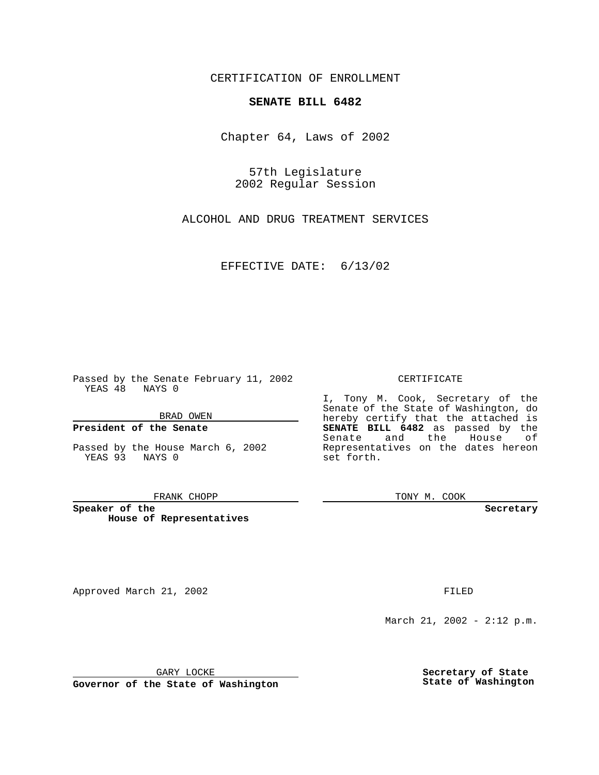CERTIFICATION OF ENROLLMENT

## **SENATE BILL 6482**

Chapter 64, Laws of 2002

57th Legislature 2002 Regular Session

ALCOHOL AND DRUG TREATMENT SERVICES

EFFECTIVE DATE: 6/13/02

Passed by the Senate February 11, 2002 YEAS 48 NAYS 0

BRAD OWEN

### **President of the Senate**

Passed by the House March 6, 2002 YEAS 93 NAYS 0

#### FRANK CHOPP

**Speaker of the House of Representatives**

Approved March 21, 2002 **FILED** 

### CERTIFICATE

I, Tony M. Cook, Secretary of the Senate of the State of Washington, do hereby certify that the attached is **SENATE BILL 6482** as passed by the Senate and the House of Representatives on the dates hereon set forth.

TONY M. COOK

**Secretary**

March 21, 2002 - 2:12 p.m.

GARY LOCKE

**Governor of the State of Washington**

**Secretary of State State of Washington**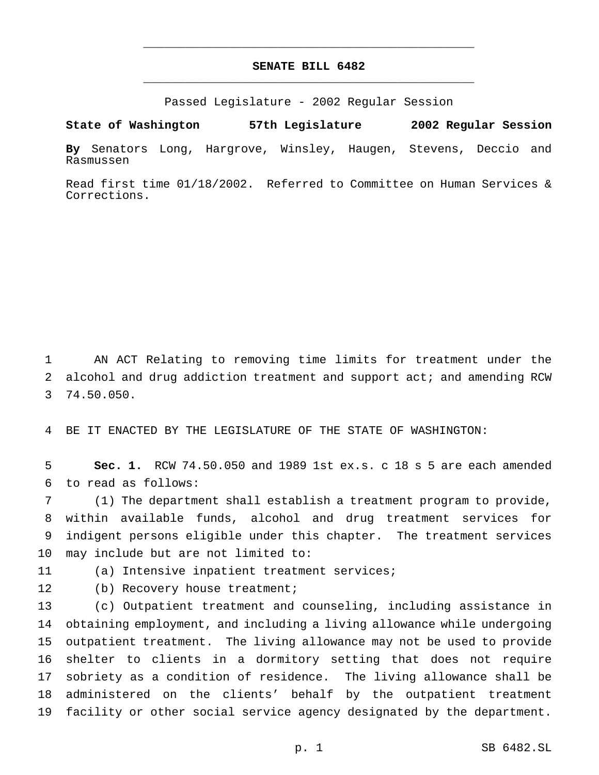# **SENATE BILL 6482** \_\_\_\_\_\_\_\_\_\_\_\_\_\_\_\_\_\_\_\_\_\_\_\_\_\_\_\_\_\_\_\_\_\_\_\_\_\_\_\_\_\_\_\_\_\_\_

\_\_\_\_\_\_\_\_\_\_\_\_\_\_\_\_\_\_\_\_\_\_\_\_\_\_\_\_\_\_\_\_\_\_\_\_\_\_\_\_\_\_\_\_\_\_\_

Passed Legislature - 2002 Regular Session

**State of Washington 57th Legislature 2002 Regular Session**

**By** Senators Long, Hargrove, Winsley, Haugen, Stevens, Deccio and Rasmussen

Read first time 01/18/2002. Referred to Committee on Human Services & Corrections.

 AN ACT Relating to removing time limits for treatment under the alcohol and drug addiction treatment and support act; and amending RCW 74.50.050.

BE IT ENACTED BY THE LEGISLATURE OF THE STATE OF WASHINGTON:

 **Sec. 1.** RCW 74.50.050 and 1989 1st ex.s. c 18 s 5 are each amended to read as follows:

 (1) The department shall establish a treatment program to provide, within available funds, alcohol and drug treatment services for indigent persons eligible under this chapter. The treatment services may include but are not limited to:

(a) Intensive inpatient treatment services;

12 (b) Recovery house treatment;

 (c) Outpatient treatment and counseling, including assistance in obtaining employment, and including a living allowance while undergoing outpatient treatment. The living allowance may not be used to provide shelter to clients in a dormitory setting that does not require sobriety as a condition of residence. The living allowance shall be administered on the clients' behalf by the outpatient treatment facility or other social service agency designated by the department.